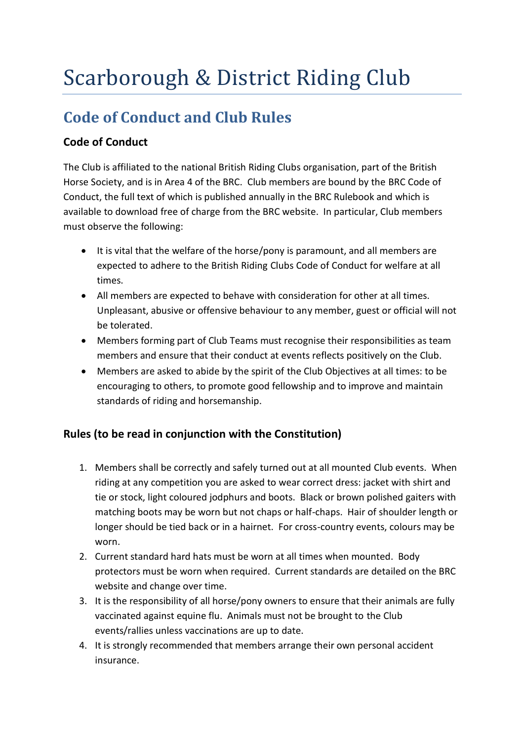## Scarborough & District Riding Club

## **Code of Conduct and Club Rules**

## **Code of Conduct**

The Club is affiliated to the national British Riding Clubs organisation, part of the British Horse Society, and is in Area 4 of the BRC. Club members are bound by the BRC Code of Conduct, the full text of which is published annually in the BRC Rulebook and which is available to download free of charge from the BRC website. In particular, Club members must observe the following:

- It is vital that the welfare of the horse/pony is paramount, and all members are expected to adhere to the British Riding Clubs Code of Conduct for welfare at all times.
- All members are expected to behave with consideration for other at all times. Unpleasant, abusive or offensive behaviour to any member, guest or official will not be tolerated.
- Members forming part of Club Teams must recognise their responsibilities as team members and ensure that their conduct at events reflects positively on the Club.
- Members are asked to abide by the spirit of the Club Objectives at all times: to be encouraging to others, to promote good fellowship and to improve and maintain standards of riding and horsemanship.

## **Rules (to be read in conjunction with the Constitution)**

- 1. Members shall be correctly and safely turned out at all mounted Club events. When riding at any competition you are asked to wear correct dress: jacket with shirt and tie or stock, light coloured jodphurs and boots. Black or brown polished gaiters with matching boots may be worn but not chaps or half-chaps. Hair of shoulder length or longer should be tied back or in a hairnet. For cross-country events, colours may be worn.
- 2. Current standard hard hats must be worn at all times when mounted. Body protectors must be worn when required. Current standards are detailed on the BRC website and change over time.
- 3. It is the responsibility of all horse/pony owners to ensure that their animals are fully vaccinated against equine flu. Animals must not be brought to the Club events/rallies unless vaccinations are up to date.
- 4. It is strongly recommended that members arrange their own personal accident insurance.